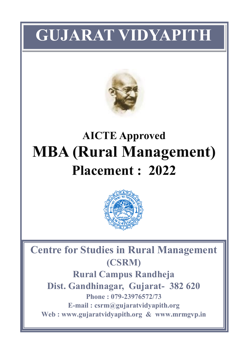# **GUJARAT VIDYAPITH**



# **AICTE Approved MBA (Rural Management) Placement : 2022**



**Centre for Studies in Rural Management (CSRM)**

**Rural Campus Randheja Dist. Gandhinagar, Gujarat- 382 620 Phone : 079-23976572/73 E-mail : csrm@gujaratvidyapith.org Web : www.gujaratvidyapith.org & www.mrmgvp.in**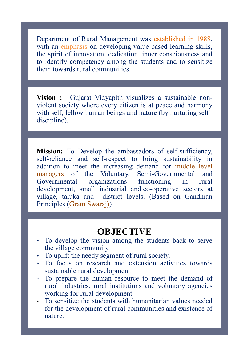Department of Rural Management was established in 1988, with an emphasis on developing value based learning skills, the spirit of innovation, dedication, inner consciousness and to identify competency among the students and to sensitize them towards rural communities.

**Vision :** Gujarat Vidyapith visualizes a sustainable nonviolent society where every citizen is at peace and harmony with self, fellow human beings and nature (by nurturing self– discipline).

**Mission:** To Develop the ambassadors of self-sufficiency, self-reliance and self-respect to bring sustainability in addition to meet the increasing demand for middle level managers of the Voluntary, Semi-Governmental and Governmental organizations functioning in rural development, small industrial and co-operative sectors at village, taluka and district levels. (Based on Gandhian Principles (Gram Swaraj))

## **OBJECTIVE**

- To develop the vision among the students back to serve the village community.
- To uplift the needy segment of rural society.
- To focus on research and extension activities towards sustainable rural development.
- To prepare the human resource to meet the demand of rural industries, rural institutions and voluntary agencies working for rural development.
- To sensitize the students with humanitarian values needed for the development of rural communities and existence of nature.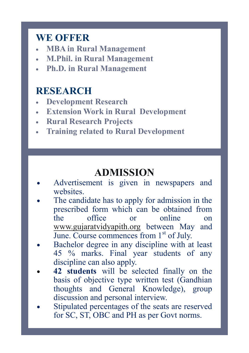## **WE OFFER**

- **MBA in Rural Management**
- **M.Phil. in Rural Management**
- **Ph.D. in Rural Management**

## **RESEARCH**

- **Development Research**
- **Extension Work in Rural Development**
- **Rural Research Projects**
- **Training related to Rural Development**

# **ADMISSION**

- Advertisement is given in newspapers and websites.
- The candidate has to apply for admission in the prescribed form which can be obtained from the office or online on [www.gujaratvidyapith.org](http://www.gujaratvidyapith.org) between May and June. Course commences from  $1<sup>st</sup>$  of July.
- Bachelor degree in any discipline with at least 45 % marks. Final year students of any discipline can also apply.
- **42 students** will be selected finally on the basis of objective type written test (Gandhian thoughts and General Knowledge), group discussion and personal interview.
- Stipulated percentages of the seats are reserved for SC, ST, OBC and PH as per Govt norms.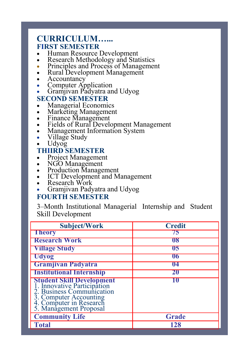### **CURRICULUM…... FIRST SEMESTER**

- Human Resource Development
- Research Methodology and Statistics
- Principles and Process of Management
- Rural Development Management
- **Accountancy**
- Computer Application
- Gramjivan Padyatra and Udyog

#### **SECOND SEMESTER**

- Managerial Economics
- Marketing Management
- Finance Management
- Fields of Rural Development Management
- Management Information System
- Village Study
- Udyog

#### **THIIRD SEMESTER**

- Project Management
- NGO Management
- Production Management
- ICT Development and Management
- Research Work
- Gramjivan Padyatra and Udyog

#### **FOURTH SEMESTER**

3–Month Institutional Managerial Internship and Student Skill Development

| <b>Subject/Work</b>                                                                                                                                                         | <b>Credit</b> |
|-----------------------------------------------------------------------------------------------------------------------------------------------------------------------------|---------------|
| <b>Theory</b>                                                                                                                                                               | 75            |
| <b>Research Work</b>                                                                                                                                                        | 08            |
| <b>Village Study</b>                                                                                                                                                        | 05            |
| <b>Udyog</b>                                                                                                                                                                | U6            |
| Gramjivan Padyatra                                                                                                                                                          | <b>U4</b>     |
| <b>Institutional Internship</b>                                                                                                                                             | 20            |
| <b>Student Skill Development</b><br>1. Innovative Participation<br>2. Business Communication<br>3. Computer Accounting<br>4. Computer in Research<br>5. Management Proposal |               |
| <b>Community Life</b>                                                                                                                                                       | <b>Grade</b>  |
| <b>Total</b>                                                                                                                                                                | 128           |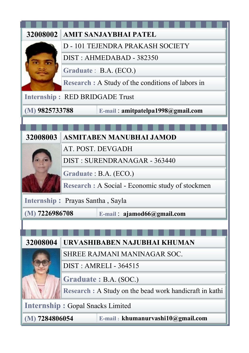| 32008002                                       |                                         | AMIT SANJAYBHAI PATEL                                   |  |
|------------------------------------------------|-----------------------------------------|---------------------------------------------------------|--|
|                                                |                                         | D - 101 TEJENDRA PRAKASH SOCIETY                        |  |
|                                                |                                         | DIST: AHMEDABAD - 382350                                |  |
|                                                |                                         | Graduate: B.A. (ECO.)                                   |  |
|                                                |                                         | Research : A Study of the conditions of labors in       |  |
|                                                |                                         | <b>Internship: RED BRIDGADE Trust</b>                   |  |
| $(M)$ 9825733788                               |                                         | E-mail: amitpatelpa1998@gmail.com                       |  |
|                                                |                                         |                                                         |  |
| 32008003                                       |                                         | <b>ASMITABEN MANUBHAI JAMOD</b>                         |  |
|                                                |                                         | AT. POST. DEVGADH                                       |  |
|                                                | DIST: SURENDRANAGAR - 363440            |                                                         |  |
|                                                |                                         | Graduate: B.A. (ECO.)                                   |  |
|                                                |                                         | Research : A Social - Economic study of stockmen        |  |
| Internship: Prayas Santha, Sayla               |                                         |                                                         |  |
| $(M)$ 7226986708<br>E-mail: ajamod66@gmail.com |                                         |                                                         |  |
|                                                |                                         |                                                         |  |
| 32008004                                       |                                         | URVASHIBABEN NAJUBHAI KHUMAN                            |  |
|                                                |                                         | SHREE RAJMANI MANINAGAR SOC.                            |  |
|                                                |                                         | <b>DIST: AMRELI - 364515</b>                            |  |
|                                                |                                         |                                                         |  |
|                                                |                                         | Graduate: B.A. (SOC.)                                   |  |
|                                                |                                         | Research : A Study on the bead work handicraft in kathi |  |
|                                                | <b>Internship: Gopal Snacks Limited</b> |                                                         |  |
| $(M)$ 7284806054                               |                                         | E-mail: khumanurvashi10@gmail.com                       |  |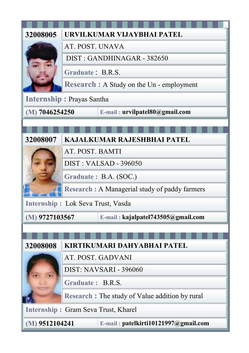| 32008005                          |                  | URVILKUMAR VIJAYBHAI PATEL                       |
|-----------------------------------|------------------|--------------------------------------------------|
|                                   | AT. POST. UNAVA  |                                                  |
|                                   |                  | DIST: GANDHINAGAR - 382650                       |
|                                   | Graduate: B.R.S. |                                                  |
|                                   |                  | <b>Research : A Study on the Un - employment</b> |
| <b>Internship: Prayas Santha</b>  |                  |                                                  |
| $(M)$ 7046254250                  |                  | E-mail: urvilpatel80@gmail.com                   |
|                                   |                  |                                                  |
| 32008007                          |                  | <b>KAJALKUMAR RAJESHBHAI PATEL</b>               |
|                                   | AT. POST. BAMTI  |                                                  |
|                                   |                  | <b>DIST: VALSAD - 396050</b>                     |
|                                   |                  | Graduate: B.A. (SOC.)                            |
|                                   |                  | Research: A Managerial study of paddy farmers    |
| Internship: Lok Seva Trust, Vasda |                  |                                                  |
| $(M)$ 9727103567                  |                  | E-mail: kajalpatel743505@gmail.com               |
|                                   |                  |                                                  |
| 32008008                          |                  | KIRTIKUMARI DAHYABHAI PATEL                      |
|                                   |                  | AT. POST. GADVANI                                |
|                                   |                  | DIST: NAVSARI - 396060                           |
|                                   | Graduate: B.R.S. |                                                  |
|                                   |                  | Research: The study of Value addition by rural   |
|                                   |                  | <b>Internship: Gram Seva Trust, Kharel</b>       |
| $(M)$ 9512104241                  |                  | E-mail: patelkirti10121997@gmail.com             |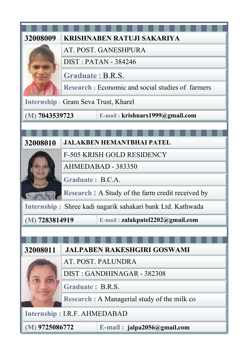| 32008009                            |                                                      | KRISHNABEN RATUJI SAKARIYA                                 |
|-------------------------------------|------------------------------------------------------|------------------------------------------------------------|
|                                     |                                                      | AT. POST. GANESHPURA                                       |
|                                     |                                                      | <b>DIST: PATAN - 384246</b>                                |
|                                     | Graduate: B.R.S.                                     |                                                            |
|                                     |                                                      | Research: Economic and social studies of farmers           |
|                                     |                                                      | Internship: Gram Seva Trust, Kharel                        |
| $(M)$ 7043539723                    |                                                      | E-mail: krishnars1999@gmail.com                            |
|                                     |                                                      |                                                            |
| 32008010                            |                                                      | <b>JALAKBEN HEMANTBHAI PATEL</b>                           |
|                                     |                                                      | <b>F-505 KRISH GOLD RESIDENCY</b>                          |
|                                     | AHMEDABAD - 383350                                   |                                                            |
|                                     | Graduate: B.C.A.                                     |                                                            |
|                                     | Research: A Study of the farm credit received by     |                                                            |
|                                     |                                                      | Internship: Shree kadi nagarik sahakari bank Ltd. Kathwada |
|                                     | $(M)$ 7283814919<br>E-mail: zalakpatel2202@gmail.com |                                                            |
|                                     |                                                      |                                                            |
|                                     |                                                      |                                                            |
| 32008011                            |                                                      | <b>JALPABEN RAKESHGIRI GOSWAMI</b>                         |
|                                     |                                                      | AT. POST. PALUNDRA                                         |
|                                     |                                                      | DIST: GANDHINAGAR - 382308                                 |
|                                     | Graduate: B.R.S.                                     |                                                            |
|                                     |                                                      | Research: A Managerial study of the milk co                |
| <b>Internship: I.R.F. AHMEDABAD</b> |                                                      |                                                            |
| $(M)$ 9725086772                    |                                                      | $E$ -mail: jalpa2056@gmail.com                             |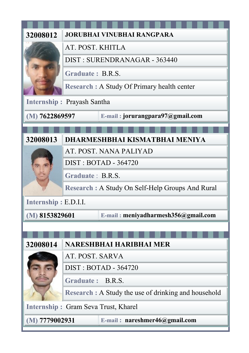| 32008012                          |                  | <b>JORUBHAI VINUBHAI RANGPARA</b>                    |
|-----------------------------------|------------------|------------------------------------------------------|
|                                   | AT. POST. KHITLA |                                                      |
|                                   |                  | DIST: SURENDRANAGAR - 363440                         |
|                                   | Graduate: B.R.S. |                                                      |
|                                   |                  | <b>Research: A Study Of Primary health center</b>    |
| <b>Internship: Prayash Santha</b> |                  |                                                      |
| $(M)$ 7622869597                  |                  | E-mail: jorurangpara97@gmail.com                     |
|                                   |                  |                                                      |
| 32008013                          |                  | DHARMESHBHAI KISMATBHAI MENIYA                       |
|                                   |                  | AT. POST. NANA PALIYAD                               |
|                                   |                  | <b>DIST: BOTAD - 364720</b>                          |
|                                   | Graduate: B.R.S. |                                                      |
|                                   |                  | Research: A Study On Self-Help Groups And Rural      |
| Internship: E.D.I.I.              |                  |                                                      |
| $(M)$ 8153829601                  |                  | E-mail: meniyadharmesh356@gmail.com                  |
|                                   |                  |                                                      |
|                                   |                  |                                                      |
| 32008014                          |                  | <b>NARESHBHAI HARIBHAI MER</b>                       |
|                                   | AT. POST. SARVA  |                                                      |
|                                   |                  | <b>DIST: BOTAD - 364720</b>                          |
|                                   | Graduate: B.R.S. |                                                      |
|                                   |                  | Research : A Study the use of drinking and household |
|                                   |                  | <b>Internship: Gram Seva Trust, Kharel</b>           |
| $(M)$ 7779002931                  |                  | E-mail: nareshmer46@gmail.com                        |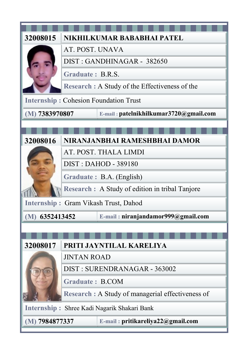| 32008015                                    |                        | NIKHILKUMAR BABABHAI PATEL                        |
|---------------------------------------------|------------------------|---------------------------------------------------|
|                                             | AT. POST. UNAVA        |                                                   |
|                                             |                        | DIST: GANDHINAGAR - 382650                        |
|                                             | Graduate: B.R.S.       |                                                   |
|                                             |                        | Research : A Study of the Effectiveness of the    |
|                                             |                        | <b>Internship: Cohesion Foundation Trust</b>      |
| $(M)$ 7383970807                            |                        | E-mail: patelnikhilkumar3720@gmail.com            |
|                                             |                        |                                                   |
| 32008016                                    |                        | NIRANJANBHAI RAMESHBHAI DAMOR                     |
|                                             |                        | AT. POST. THALA LIMDI                             |
|                                             |                        | <b>DIST: DAHOD - 389180</b>                       |
|                                             |                        | Graduate: B.A. (English)                          |
|                                             |                        | Research : A Study of edition in tribal Tanjore   |
|                                             |                        | <b>Internship: Gram Vikash Trust, Dahod</b>       |
| $(M)$ 6352413452                            |                        | E-mail: niranjandamor999@gmail.com                |
|                                             |                        |                                                   |
| 32008017                                    |                        | PRITI JAYNTILAL KARELIYA                          |
|                                             | <b>JINTAN ROAD</b>     |                                                   |
|                                             |                        | DIST: SURENDRANAGAR - 363002                      |
|                                             | <b>Graduate: B.COM</b> |                                                   |
|                                             |                        | Research : A Study of managerial effectiveness of |
|                                             |                        |                                                   |
| Internship: Shree Kadi Nagarik Shakari Bank |                        |                                                   |
| $(M)$ 7984877337                            |                        | E-mail: pritikareliya22@gmail.com                 |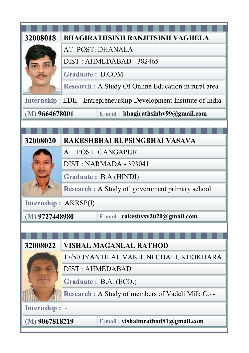| 32008018             | <b>BHAGIRATHSINH RANJITSINH VAGHELA</b>                            |  |
|----------------------|--------------------------------------------------------------------|--|
|                      | AT. POST. DHANALA                                                  |  |
|                      | DIST: AHMEDABAD - 382465                                           |  |
|                      | <b>Graduate: B.COM</b>                                             |  |
|                      | Research: A Study Of Online Education in rural area                |  |
|                      | Internship: EDII - Entrepreneurship Development Institute of India |  |
| $(M)$ 9664678001     | E-mail: bhagirathsinhv99@gmail.com                                 |  |
|                      |                                                                    |  |
|                      |                                                                    |  |
| 32008020             | RAKESHBHAI RUPSINGBHAI VASAVA                                      |  |
|                      | AT. POST. GANGAPUR                                                 |  |
|                      | DIST: NARMADA - 393041                                             |  |
|                      | Graduate: B.A.(HINDI)                                              |  |
|                      | Research : A Study of government primary school                    |  |
| Internship: AKRSP(I) |                                                                    |  |
| $(M)$ 9727448980     | E-mail: rakeshvsv2020@gmail.com                                    |  |
|                      |                                                                    |  |
|                      |                                                                    |  |
| 32008022             | <b>VISHAL MAGANLAL RATHOD</b>                                      |  |
|                      | 17/50 JYANTILAL VAKIL NI CHALI, KHOKHARA                           |  |
|                      | <b>DIST: AHMEDABAD</b>                                             |  |
|                      | Graduate: B.A. (ECO.)                                              |  |
|                      | Research: A Study of members of Vadeli Milk Co -                   |  |
| Internship: -        |                                                                    |  |
| $(M)$ 9067818219     | E-mail: vishalmrathod81@gmail.com                                  |  |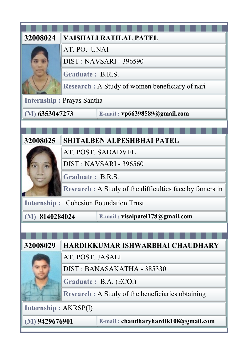| 32008024         | VAISHALI RATILAL PATEL                                   |  |
|------------------|----------------------------------------------------------|--|
|                  | AT. PO. UNAI                                             |  |
|                  | DIST: NAVSARI - 396590                                   |  |
|                  | Graduate: B.R.S.                                         |  |
|                  | Research : A Study of women beneficiary of nari          |  |
|                  | <b>Internship: Prayas Santha</b>                         |  |
| $(M)$ 6353047273 | E-mail: vp66398589@gmail.com                             |  |
|                  |                                                          |  |
|                  |                                                          |  |
| 32008025         | <b>SHITALBEN ALPESHBHAI PATEL</b>                        |  |
|                  | AT. POST. SADADVEL                                       |  |
|                  | DIST: NAVSARI - 396560                                   |  |
|                  | Graduate: B.R.S.                                         |  |
|                  | Research : A Study of the difficulties face by famers in |  |
|                  | <b>Internship: Cohesion Foundation Trust</b>             |  |
| $(M)$ 8140284024 | E-mail: visalpatel178@gmail.com                          |  |
|                  |                                                          |  |
|                  |                                                          |  |
| 32008029         | HARDIKKUMAR ISHWARBHAI CHAUDHARY                         |  |
|                  | AT. POST. JASALI                                         |  |
|                  | DIST: BANASAKATHA - 385330                               |  |
|                  | Graduate: B.A. (ECO.)                                    |  |
|                  | Research : A Study of the beneficiaries obtaining        |  |
|                  | <b>Internship: AKRSP(I)</b>                              |  |
| $(M)$ 9429676901 | E-mail: chaudharyhardik108@gmail.com                     |  |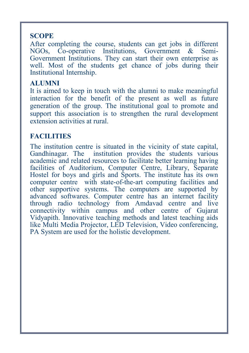#### **SCOPE**

After completing the course, students can get jobs in different NGOs, Co-operative Institutions, Government & Semi-Government Institutions. They can start their own enterprise as well. Most of the students get chance of jobs during their Institutional Internship.

#### **ALUMNI**

It is aimed to keep in touch with the alumni to make meaningful interaction for the benefit of the present as well as future generation of the group. The institutional goal to promote and support this association is to strengthen the rural development extension activities at rural.

### **FACILITIES**

The institution centre is situated in the vicinity of state capital, Gandhinagar. The institution provides the students various academic and related resources to facilitate better learning having facilities of Auditorium, Computer Centre, Library, Separate Hostel for boys and girls and Sports. The institute has its own computer centre with state-of-the-art computing facilities and other supportive systems. The computers are supported by advanced softwares. Computer centre has an internet facility through radio technology from Amdavad centre and live connectivity within campus and other centre of Gujarat Vidyapith. Innovative teaching methods and latest teaching aids like Multi Media Projector, LED Television, Video conferencing, PA System are used for the holistic development.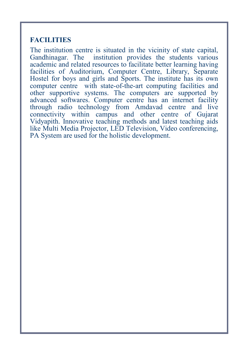#### **FACILITIES**

The institution centre is situated in the vicinity of state capital, Gandhinagar. The institution provides the students various academic and related resources to facilitate better learning having facilities of Auditorium, Computer Centre, Library, Separate Hostel for boys and girls and Sports. The institute has its own computer centre with state-of-the-art computing facilities and other supportive systems. The computers are supported by advanced softwares. Computer centre has an internet facility through radio technology from Amdavad centre and live connectivity within campus and other centre of Gujarat Vidyapith. Innovative teaching methods and latest teaching aids like Multi Media Projector, LED Television, Video conferencing, PA System are used for the holistic development.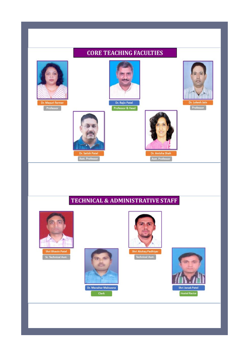

#### **TECHNICAL & ADMINISTRATIVE STAFF**